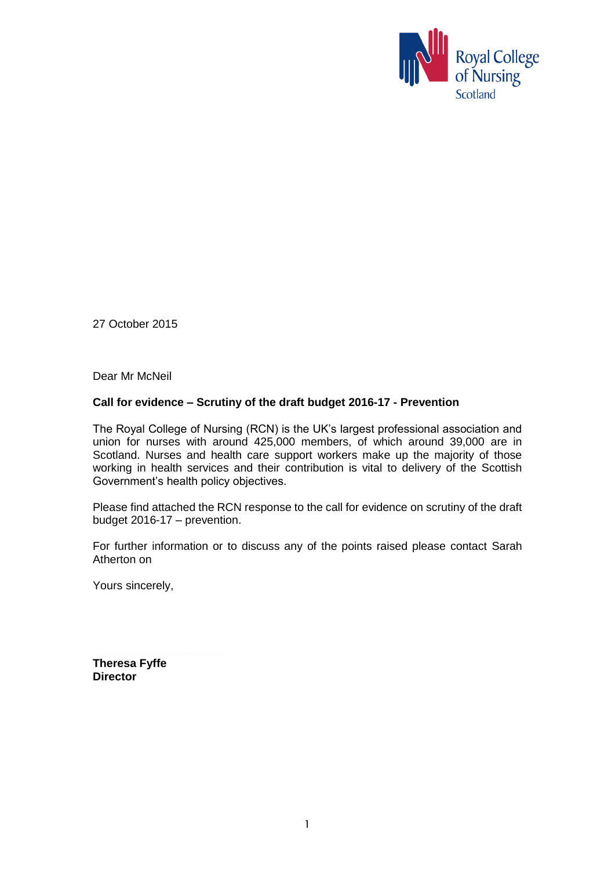

27 October 2015

Dear Mr McNeil

### **Call for evidence – Scrutiny of the draft budget 2016-17 - Prevention**

The Royal College of Nursing (RCN) is the UK's largest professional association and union for nurses with around 425,000 members, of which around 39,000 are in Scotland. Nurses and health care support workers make up the majority of those working in health services and their contribution is vital to delivery of the Scottish Government's health policy objectives.

Please find attached the RCN response to the call for evidence on scrutiny of the draft budget 2016-17 – prevention.

For further information or to discuss any of the points raised please contact Sarah Atherton on

Yours sincerely,

**Theresa Fyffe Director**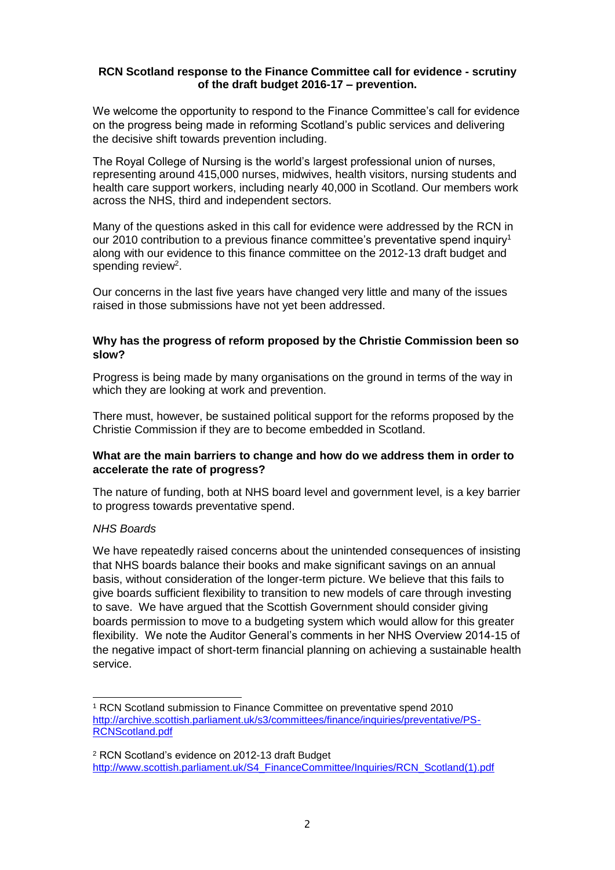#### **RCN Scotland response to the Finance Committee call for evidence - scrutiny of the draft budget 2016-17 – prevention.**

We welcome the opportunity to respond to the Finance Committee's call for evidence on the progress being made in reforming Scotland's public services and delivering the decisive shift towards prevention including.

The Royal College of Nursing is the world's largest professional union of nurses, representing around 415,000 nurses, midwives, health visitors, nursing students and health care support workers, including nearly 40,000 in Scotland. Our members work across the NHS, third and independent sectors.

Many of the questions asked in this call for evidence were addressed by the RCN in our 2010 contribution to a previous finance committee's preventative spend inquiry<sup>1</sup> along with our evidence to this finance committee on the 2012-13 draft budget and spending review<sup>2</sup>.

Our concerns in the last five years have changed very little and many of the issues raised in those submissions have not yet been addressed.

### **Why has the progress of reform proposed by the Christie Commission been so slow?**

Progress is being made by many organisations on the ground in terms of the way in which they are looking at work and prevention.

There must, however, be sustained political support for the reforms proposed by the Christie Commission if they are to become embedded in Scotland.

### **What are the main barriers to change and how do we address them in order to accelerate the rate of progress?**

The nature of funding, both at NHS board level and government level, is a key barrier to progress towards preventative spend.

### *NHS Boards*

We have repeatedly raised concerns about the unintended consequences of insisting that NHS boards balance their books and make significant savings on an annual basis, without consideration of the longer-term picture. We believe that this fails to give boards sufficient flexibility to transition to new models of care through investing to save. We have argued that the Scottish Government should consider giving boards permission to move to a budgeting system which would allow for this greater flexibility. We note the Auditor General's comments in her NHS Overview 2014-15 of the negative impact of short-term financial planning on achieving a sustainable health service.

 $\overline{a}$ <sup>1</sup> RCN Scotland submission to Finance Committee on preventative spend 2010 [http://archive.scottish.parliament.uk/s3/committees/finance/inquiries/preventative/PS-](http://archive.scottish.parliament.uk/s3/committees/finance/inquiries/preventative/PS-RCNScotland.pdf)[RCNScotland.pdf](http://archive.scottish.parliament.uk/s3/committees/finance/inquiries/preventative/PS-RCNScotland.pdf)

<sup>2</sup> RCN Scotland's evidence on 2012-13 draft Budget [http://www.scottish.parliament.uk/S4\\_FinanceCommittee/Inquiries/RCN\\_Scotland\(1\).pdf](http://www.scottish.parliament.uk/S4_FinanceCommittee/Inquiries/RCN_Scotland(1).pdf)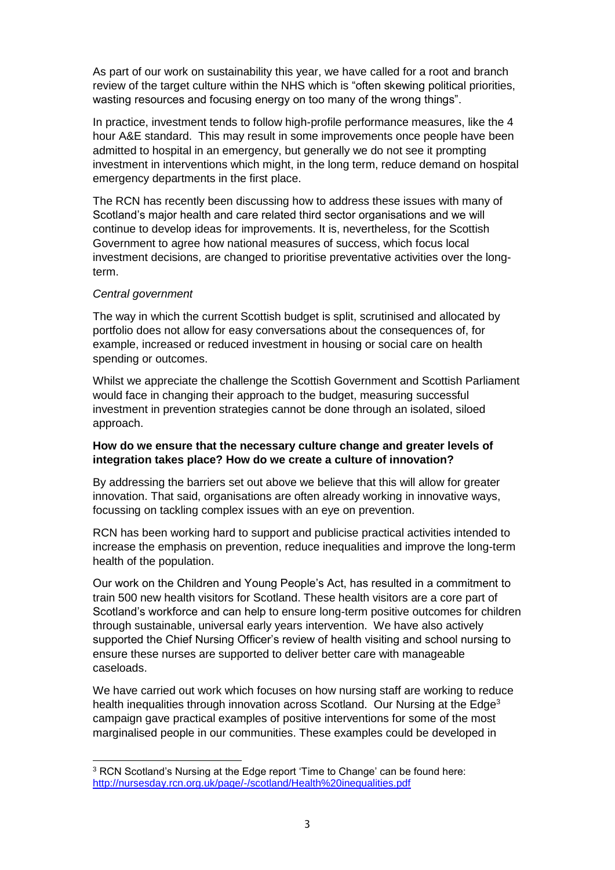As part of our work on sustainability this year, we have called for a root and branch review of the target culture within the NHS which is "often skewing political priorities, wasting resources and focusing energy on too many of the wrong things".

In practice, investment tends to follow high-profile performance measures, like the 4 hour A&E standard. This may result in some improvements once people have been admitted to hospital in an emergency, but generally we do not see it prompting investment in interventions which might, in the long term, reduce demand on hospital emergency departments in the first place.

The RCN has recently been discussing how to address these issues with many of Scotland's major health and care related third sector organisations and we will continue to develop ideas for improvements. It is, nevertheless, for the Scottish Government to agree how national measures of success, which focus local investment decisions, are changed to prioritise preventative activities over the longterm.

### *Central government*

l

The way in which the current Scottish budget is split, scrutinised and allocated by portfolio does not allow for easy conversations about the consequences of, for example, increased or reduced investment in housing or social care on health spending or outcomes.

Whilst we appreciate the challenge the Scottish Government and Scottish Parliament would face in changing their approach to the budget, measuring successful investment in prevention strategies cannot be done through an isolated, siloed approach.

# **How do we ensure that the necessary culture change and greater levels of integration takes place? How do we create a culture of innovation?**

By addressing the barriers set out above we believe that this will allow for greater innovation. That said, organisations are often already working in innovative ways, focussing on tackling complex issues with an eye on prevention.

RCN has been working hard to support and publicise practical activities intended to increase the emphasis on prevention, reduce inequalities and improve the long-term health of the population.

Our work on the Children and Young People's Act, has resulted in a commitment to train 500 new health visitors for Scotland. These health visitors are a core part of Scotland's workforce and can help to ensure long-term positive outcomes for children through sustainable, universal early years intervention. We have also actively supported the Chief Nursing Officer's review of health visiting and school nursing to ensure these nurses are supported to deliver better care with manageable caseloads.

We have carried out work which focuses on how nursing staff are working to reduce health inequalities through innovation across Scotland. Our Nursing at the Edge<sup>3</sup> campaign gave practical examples of positive interventions for some of the most marginalised people in our communities. These examples could be developed in

<sup>&</sup>lt;sup>3</sup> RCN Scotland's Nursing at the Edge report 'Time to Change' can be found here: <http://nursesday.rcn.org.uk/page/-/scotland/Health%20inequalities.pdf>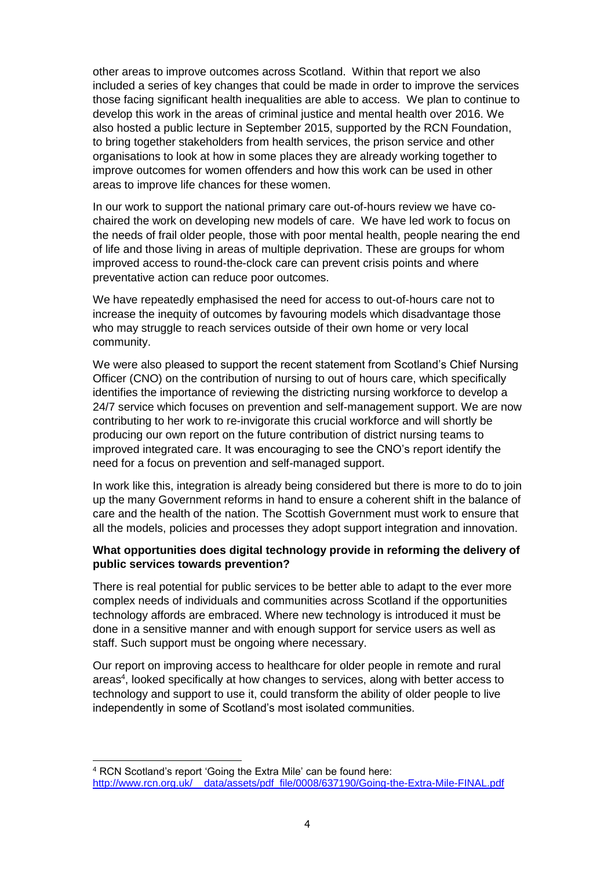other areas to improve outcomes across Scotland. Within that report we also included a series of key changes that could be made in order to improve the services those facing significant health inequalities are able to access. We plan to continue to develop this work in the areas of criminal justice and mental health over 2016. We also hosted a public lecture in September 2015, supported by the RCN Foundation, to bring together stakeholders from health services, the prison service and other organisations to look at how in some places they are already working together to improve outcomes for women offenders and how this work can be used in other areas to improve life chances for these women.

In our work to support the national primary care out-of-hours review we have cochaired the work on developing new models of care. We have led work to focus on the needs of frail older people, those with poor mental health, people nearing the end of life and those living in areas of multiple deprivation. These are groups for whom improved access to round-the-clock care can prevent crisis points and where preventative action can reduce poor outcomes.

We have repeatedly emphasised the need for access to out-of-hours care not to increase the inequity of outcomes by favouring models which disadvantage those who may struggle to reach services outside of their own home or very local community.

We were also pleased to support the recent statement from Scotland's Chief Nursing Officer (CNO) on the contribution of nursing to out of hours care, which specifically identifies the importance of reviewing the districting nursing workforce to develop a 24/7 service which focuses on prevention and self-management support. We are now contributing to her work to re-invigorate this crucial workforce and will shortly be producing our own report on the future contribution of district nursing teams to improved integrated care. It was encouraging to see the CNO's report identify the need for a focus on prevention and self-managed support.

In work like this, integration is already being considered but there is more to do to join up the many Government reforms in hand to ensure a coherent shift in the balance of care and the health of the nation. The Scottish Government must work to ensure that all the models, policies and processes they adopt support integration and innovation.

## **What opportunities does digital technology provide in reforming the delivery of public services towards prevention?**

There is real potential for public services to be better able to adapt to the ever more complex needs of individuals and communities across Scotland if the opportunities technology affords are embraced. Where new technology is introduced it must be done in a sensitive manner and with enough support for service users as well as staff. Such support must be ongoing where necessary.

Our report on improving access to healthcare for older people in remote and rural areas<sup>4</sup>, looked specifically at how changes to services, along with better access to technology and support to use it, could transform the ability of older people to live independently in some of Scotland's most isolated communities.

l

<sup>4</sup> RCN Scotland's report 'Going the Extra Mile' can be found here: http://www.rcn.org.uk/ data/assets/pdf file/0008/637190/Going-the-Extra-Mile-FINAL.pdf